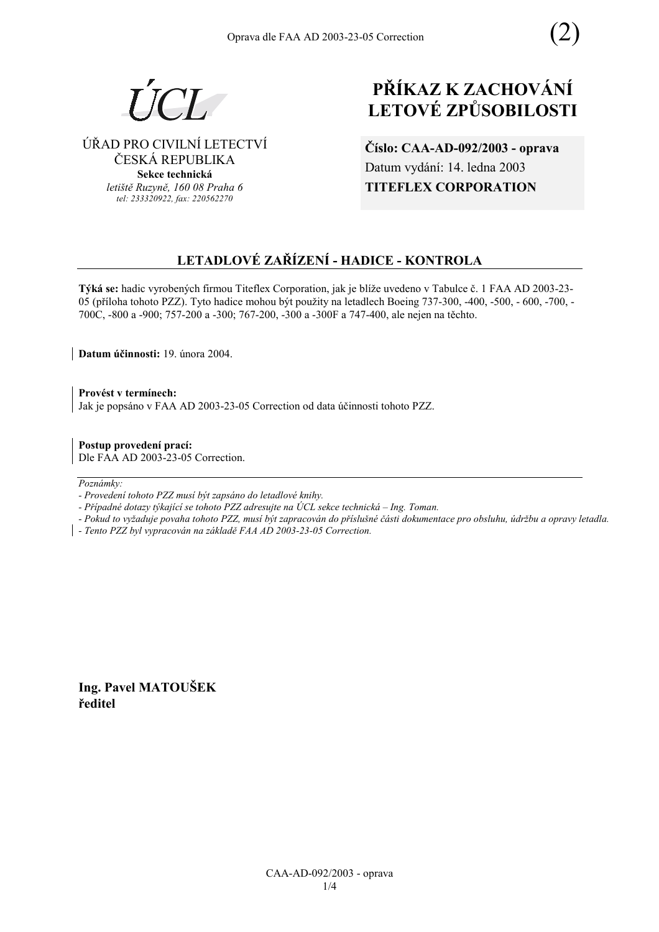

## ÚŘAD PRO CIVILNÍ LETECTVÍ ČESKÁ REPUBLIKA

**Sekce technická** *letiötě Ruzyně, 160 08 Praha 6 tel: 233320922, fax: 220562270*

# **PŘÍKAZ K ZACHOVÁNÍ LETOV… ZPŮSOBILOSTI**

**ČÌslo: CAA-AD-092/2003 - oprava** Datum vydání: 14. ledna 2003 **TITEFLEX CORPORATION** 

### **LETADLOV… ZAŘÕZENÕ - HADICE - KONTROLA**

Týká se: hadic vyrobených firmou Titeflex Corporation, jak je blíže uvedeno v Tabulce č. 1 FAA AD 2003-23-05 (příloha tohoto PZZ). Tyto hadice mohou být použity na letadlech Boeing 737-300, -400, -500, -600, -700, -700C, -800 a -900; 757-200 a -300; 767-200, -300 a -300F a 747-400, ale nejen na těchto.

**Datum ˙činnosti:** 19. ˙nora 2004.

Provést v termínech: Jak je popsáno v FAA AD 2003-23-05 Correction od data účinnosti tohoto PZZ.

**Postup provedenÌ pracÌ:**  Dle FAA AD 2003-23-05 Correction.

 $Poznámkv:$ 

- *Pokud to vyûaduje povaha tohoto PZZ, musÌ b˝t zapracov·n do přÌsluönÈ č·sti dokumentace pro obsluhu, ˙drûbu a opravy letadla.*
- *Tento PZZ byl vypracov·n na z·kladě FAA AD 2003-23-05 Correction.*

**Ing. Pavel MATOUäEK ředitel** 

*<sup>-</sup> ProvedenÌ tohoto PZZ musÌ b˝t zaps·no do letadlovÈ knihy.* 

<sup>-</sup> Případné dotazy týkající se tohoto PZZ adresujte na ÚCL sekce technická – Ing. Toman.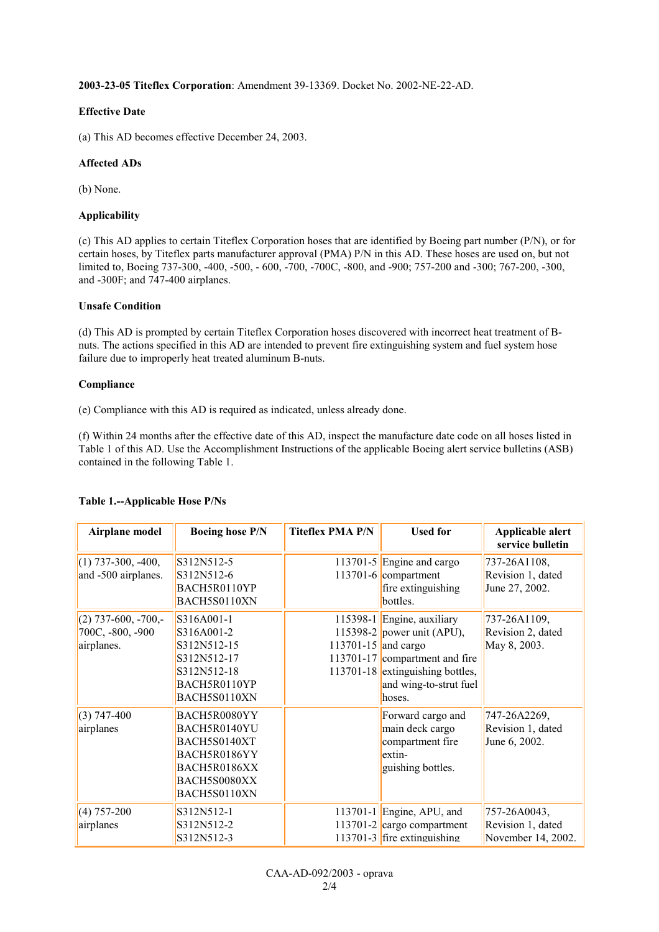**2003-23-05 Titeflex Corporation**: Amendment 39-13369. Docket No. 2002-NE-22-AD.

#### **Effective Date**

(a) This AD becomes effective December 24, 2003.

#### **Affected ADs**

(b) None.

#### **Applicability**

(c) This AD applies to certain Titeflex Corporation hoses that are identified by Boeing part number (P/N), or for certain hoses, by Titeflex parts manufacturer approval (PMA) P/N in this AD. These hoses are used on, but not limited to, Boeing 737-300, -400, -500, - 600, -700, -700C, -800, and -900; 757-200 and -300; 767-200, -300, and -300F; and 747-400 airplanes.

#### **Unsafe Condition**

(d) This AD is prompted by certain Titeflex Corporation hoses discovered with incorrect heat treatment of Bnuts. The actions specified in this AD are intended to prevent fire extinguishing system and fuel system hose failure due to improperly heat treated aluminum B-nuts.

#### **Compliance**

(e) Compliance with this AD is required as indicated, unless already done.

(f) Within 24 months after the effective date of this AD, inspect the manufacture date code on all hoses listed in Table 1 of this AD. Use the Accomplishment Instructions of the applicable Boeing alert service bulletins (ASB) contained in the following Table 1.

| Airplane model                                          | <b>Boeing hose P/N</b>                                                                                       | <b>Titeflex PMA P/N</b> | <b>Used for</b>                                                                                                                                                    | Applicable alert<br>service bulletin                    |
|---------------------------------------------------------|--------------------------------------------------------------------------------------------------------------|-------------------------|--------------------------------------------------------------------------------------------------------------------------------------------------------------------|---------------------------------------------------------|
| $(1)$ 737-300, -400,<br>and -500 airplanes.             | S312N512-5<br>S312N512-6<br>BACH5R0110YP<br>BACH5S0110XN                                                     |                         | 113701-5 Engine and cargo<br>$113701 - 6$ compartment<br>fire extinguishing<br>bottles.                                                                            | 737-26A1108,<br>Revision 1, dated<br>June 27, 2002.     |
| $(2)$ 737-600, -700,-<br>700C, -800, -900<br>airplanes. | S316A001-1<br>S316A001-2<br>S312N512-15<br>S312N512-17<br>S312N512-18<br>BACH5R0110YP<br>BACH5S0110XN        | 113701-15 and cargo     | 115398-1 Engine, auxiliary<br>115398-2 power unit (APU),<br>113701-17 compartment and fire<br>113701-18 extinguishing bottles,<br>and wing-to-strut fuel<br>hoses. | 737-26A1109,<br>Revision 2, dated<br>May 8, 2003.       |
| $(3)$ 747-400<br>airplanes                              | BACH5R0080YY<br>BACH5R0140YU<br>BACH5S0140XT<br>BACH5R0186YY<br>BACH5R0186XX<br>BACH5S0080XX<br>BACH5S0110XN |                         | Forward cargo and<br>main deck cargo<br>compartment fire<br>extin-<br>guishing bottles.                                                                            | 747-26A2269,<br>Revision 1, dated<br>June 6, 2002.      |
| $(4)$ 757-200<br>airplanes                              | S312N512-1<br>S312N512-2<br>S312N512-3                                                                       |                         | 113701-1 Engine, APU, and<br>113701-2 $\vert$ cargo compartment<br>113701-3  fire extinguishing                                                                    | 757-26A0043,<br>Revision 1, dated<br>November 14, 2002. |

#### **Table 1.--Applicable Hose P/Ns**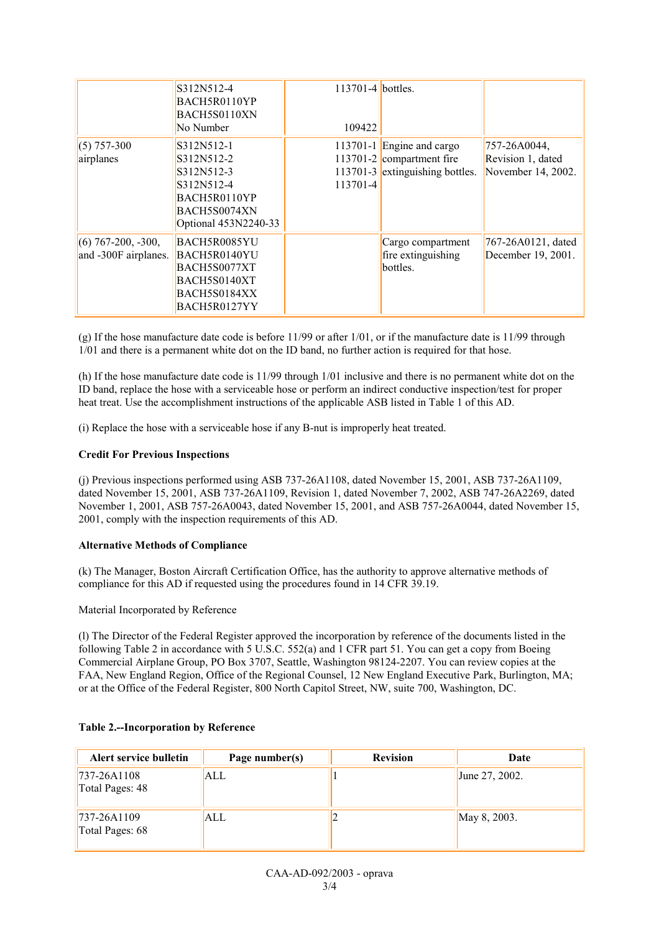|                                              | S312N512-4<br>BACH5R0110YP<br>BACH5S0110XN<br>No Number                                                      | $113701 - 4$ bottles.<br>109422 |                                                                                           |                                                              |
|----------------------------------------------|--------------------------------------------------------------------------------------------------------------|---------------------------------|-------------------------------------------------------------------------------------------|--------------------------------------------------------------|
| $(5)$ 757-300<br>airplanes                   | S312N512-1<br>S312N512-2<br>S312N512-3<br>S312N512-4<br>BACH5R0110YP<br>BACH5S0074XN<br>Optional 453N2240-33 | 113701-4                        | 113701-1 Engine and cargo<br>113701-2 compartment fire<br>113701-3 extinguishing bottles. | $757 - 26A0044$ ,<br>Revision 1, dated<br>November 14, 2002. |
| $(6)$ 767-200, -300,<br>and -300F airplanes. | BACH5R0085YU<br>BACH5R0140YU<br>BACH5S0077XT<br>BACH5S0140XT<br>BACH5S0184XX<br>BACH5R0127YY                 |                                 | Cargo compartment<br>fire extinguishing<br>bottles.                                       | 767-26A0121, dated<br>December 19, 2001.                     |

(g) If the hose manufacture date code is before 11/99 or after 1/01, or if the manufacture date is 11/99 through 1/01 and there is a permanent white dot on the ID band, no further action is required for that hose.

(h) If the hose manufacture date code is 11/99 through 1/01 inclusive and there is no permanent white dot on the ID band, replace the hose with a serviceable hose or perform an indirect conductive inspection/test for proper heat treat. Use the accomplishment instructions of the applicable ASB listed in Table 1 of this AD.

(i) Replace the hose with a serviceable hose if any B-nut is improperly heat treated.

#### **Credit For Previous Inspections**

(j) Previous inspections performed using ASB 737-26A1108, dated November 15, 2001, ASB 737-26A1109, dated November 15, 2001, ASB 737-26A1109, Revision 1, dated November 7, 2002, ASB 747-26A2269, dated November 1, 2001, ASB 757-26A0043, dated November 15, 2001, and ASB 757-26A0044, dated November 15, 2001, comply with the inspection requirements of this AD.

#### **Alternative Methods of Compliance**

(k) The Manager, Boston Aircraft Certification Office, has the authority to approve alternative methods of compliance for this AD if requested using the procedures found in 14 CFR 39.19.

#### Material Incorporated by Reference

(l) The Director of the Federal Register approved the incorporation by reference of the documents listed in the following Table 2 in accordance with 5 U.S.C. 552(a) and 1 CFR part 51. You can get a copy from Boeing Commercial Airplane Group, PO Box 3707, Seattle, Washington 98124-2207. You can review copies at the FAA, New England Region, Office of the Regional Counsel, 12 New England Executive Park, Burlington, MA; or at the Office of the Federal Register, 800 North Capitol Street, NW, suite 700, Washington, DC.

| Alert service bulletin             | Page number(s) | <b>Revision</b> | Date           |
|------------------------------------|----------------|-----------------|----------------|
| $ 737-26A1108 $<br>Total Pages: 48 | ALL            |                 | June 27, 2002. |
| $737 - 26A1109$<br>Total Pages: 68 | ALL            |                 | May 8, 2003.   |

#### **Table 2.--Incorporation by Reference**